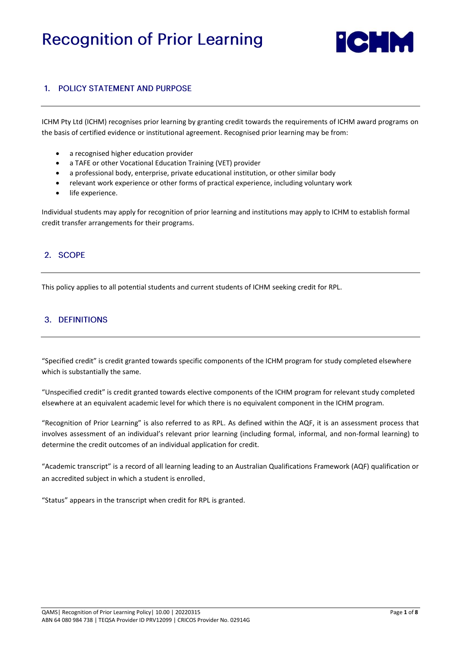# **Recognition of Prior Learning**



# 1. POLICY STATEMENT AND PURPOSE

ICHM Pty Ltd (ICHM) recognises prior learning by granting credit towards the requirements of ICHM award programs on the basis of certified evidence or institutional agreement. Recognised prior learning may be from:

- a recognised higher education provider
- a TAFE or other Vocational Education Training (VET) provider
- a professional body, enterprise, private educational institution, or other similar body
- relevant work experience or other forms of practical experience, including voluntary work
- life experience.

Individual students may apply for recognition of prior learning and institutions may apply to ICHM to establish formal credit transfer arrangements for their programs.

## 2. SCOPE

This policy applies to all potential students and current students of ICHM seeking credit for RPL.

## 3. DEFINITIONS

"Specified credit" is credit granted towards specific components of the ICHM program for study completed elsewhere which is substantially the same.

"Unspecified credit" is credit granted towards elective components of the ICHM program for relevant study completed elsewhere at an equivalent academic level for which there is no equivalent component in the ICHM program.

"Recognition of Prior Learning" is also referred to as RPL. As defined within the AQF, it is an assessment process that involves assessment of an individual's relevant prior learning (including formal, informal, and non-formal learning) to determine the credit outcomes of an individual application for credit.

"Academic transcript" is a record of all learning leading to an Australian Qualifications Framework (AQF) qualification or an accredited subject in which a student is enrolled

"Status" appears in the transcript when credit for RPL is granted.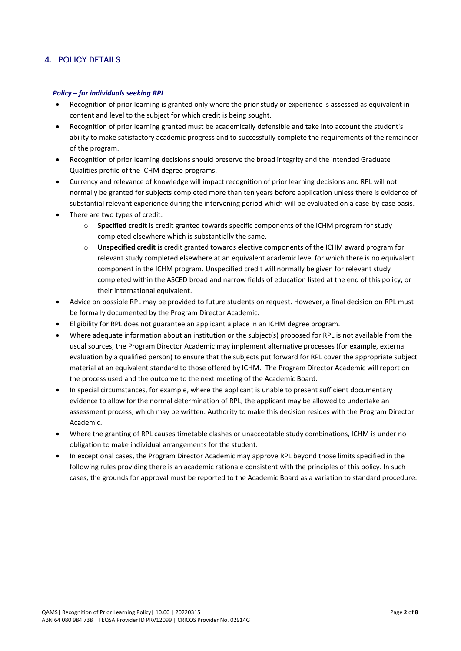# 4. POLICY DETAILS

#### *Policy – for individuals seeking RPL*

- Recognition of prior learning is granted only where the prior study or experience is assessed as equivalent in content and level to the subject for which credit is being sought.
- Recognition of prior learning granted must be academically defensible and take into account the student's ability to make satisfactory academic progress and to successfully complete the requirements of the remainder of the program.
- Recognition of prior learning decisions should preserve the broad integrity and the intended Graduate Qualities profile of the ICHM degree programs.
- Currency and relevance of knowledge will impact recognition of prior learning decisions and RPL will not normally be granted for subjects completed more than ten years before application unless there is evidence of substantial relevant experience during the intervening period which will be evaluated on a case-by-case basis.
- There are two types of credit:
	- o **Specified credit** is credit granted towards specific components of the ICHM program for study completed elsewhere which is substantially the same.
	- o **Unspecified credit** is credit granted towards elective components of the ICHM award program for relevant study completed elsewhere at an equivalent academic level for which there is no equivalent component in the ICHM program. Unspecified credit will normally be given for relevant study completed within the ASCED broad and narrow fields of education listed at the end of this policy, or their international equivalent.
- Advice on possible RPL may be provided to future students on request. However, a final decision on RPL must be formally documented by the Program Director Academic.
- Eligibility for RPL does not guarantee an applicant a place in an ICHM degree program.
- Where adequate information about an institution or the subject(s) proposed for RPL is not available from the usual sources, the Program Director Academic may implement alternative processes (for example, external evaluation by a qualified person) to ensure that the subjects put forward for RPL cover the appropriate subject material at an equivalent standard to those offered by ICHM. The Program Director Academic will report on the process used and the outcome to the next meeting of the Academic Board.
- In special circumstances, for example, where the applicant is unable to present sufficient documentary evidence to allow for the normal determination of RPL, the applicant may be allowed to undertake an assessment process, which may be written. Authority to make this decision resides with the Program Director Academic.
- Where the granting of RPL causes timetable clashes or unacceptable study combinations, ICHM is under no obligation to make individual arrangements for the student.
- In exceptional cases, the Program Director Academic may approve RPL beyond those limits specified in the following rules providing there is an academic rationale consistent with the principles of this policy. In such cases, the grounds for approval must be reported to the Academic Board as a variation to standard procedure.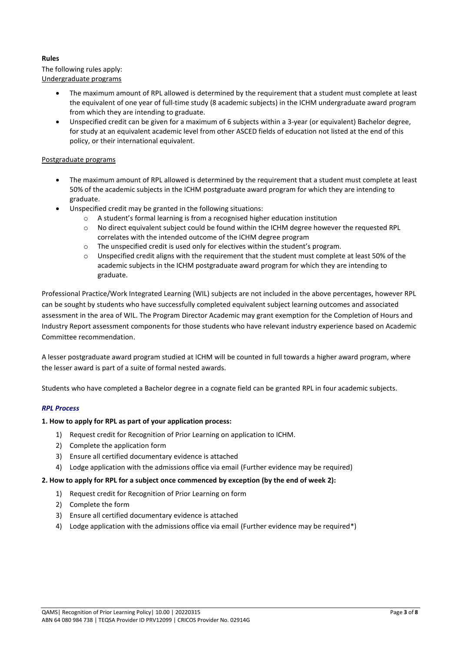## **Rules**

The following rules apply: Undergraduate programs

- The maximum amount of RPL allowed is determined by the requirement that a student must complete at least the equivalent of one year of full-time study (8 academic subjects) in the ICHM undergraduate award program from which they are intending to graduate.
- Unspecified credit can be given for a maximum of 6 subjects within a 3-year (or equivalent) Bachelor degree, for study at an equivalent academic level from other ASCED fields of education not listed at the end of this policy, or their international equivalent.

## Postgraduate programs

- The maximum amount of RPL allowed is determined by the requirement that a student must complete at least 50% of the academic subjects in the ICHM postgraduate award program for which they are intending to graduate.
- Unspecified credit may be granted in the following situations:
	- o A student's formal learning is from a recognised higher education institution
	- o No direct equivalent subject could be found within the ICHM degree however the requested RPL correlates with the intended outcome of the ICHM degree program
	- o The unspecified credit is used only for electives within the student's program.
	- $\circ$  Unspecified credit aligns with the requirement that the student must complete at least 50% of the academic subjects in the ICHM postgraduate award program for which they are intending to graduate.

Professional Practice/Work Integrated Learning (WIL) subjects are not included in the above percentages, however RPL can be sought by students who have successfully completed equivalent subject learning outcomes and associated assessment in the area of WIL. The Program Director Academic may grant exemption for the Completion of Hours and Industry Report assessment components for those students who have relevant industry experience based on Academic Committee recommendation.

A lesser postgraduate award program studied at ICHM will be counted in full towards a higher award program, where the lesser award is part of a suite of formal nested awards.

Students who have completed a Bachelor degree in a cognate field can be granted RPL in four academic subjects.

## *RPL Process*

## **1. How to apply for RPL as part of your application process:**

- 1) Request credit for Recognition of Prior Learning on application to ICHM.
- 2) Complete the application form
- 3) Ensure all certified documentary evidence is attached
- 4) Lodge application with the admissions office via email (Further evidence may be required)

## **2. How to apply for RPL for a subject once commenced by exception (by the end of week 2):**

- 1) Request credit for Recognition of Prior Learning on form
- 2) Complete the form
- 3) Ensure all certified documentary evidence is attached
- 4) Lodge application with the admissions office via email (Further evidence may be required\*)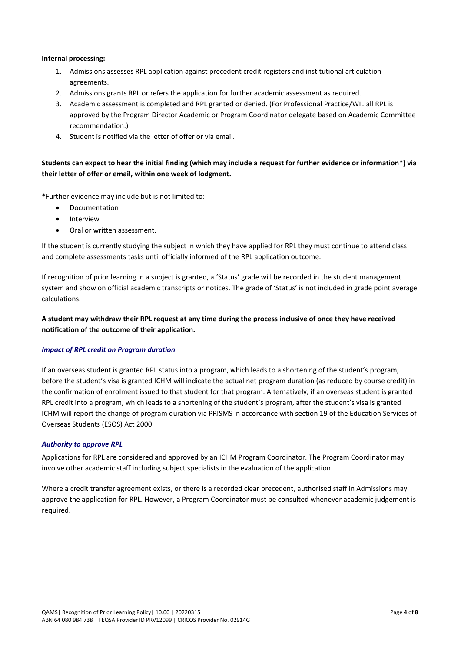#### **Internal processing:**

- 1. Admissions assesses RPL application against precedent credit registers and institutional articulation agreements.
- 2. Admissions grants RPL or refers the application for further academic assessment as required.
- 3. Academic assessment is completed and RPL granted or denied. (For Professional Practice/WIL all RPL is approved by the Program Director Academic or Program Coordinator delegate based on Academic Committee recommendation.)
- 4. Student is notified via the letter of offer or via email.

## **Students can expect to hear the initial finding (which may include a request for further evidence or information\*) via their letter of offer or email, within one week of lodgment.**

\*Further evidence may include but is not limited to:

- **Documentation**
- Interview
- Oral or written assessment.

If the student is currently studying the subject in which they have applied for RPL they must continue to attend class and complete assessments tasks until officially informed of the RPL application outcome.

If recognition of prior learning in a subject is granted, a 'Status' grade will be recorded in the student management system and show on official academic transcripts or notices. The grade of 'Status' is not included in grade point average calculations.

## **A student may withdraw their RPL request at any time during the process inclusive of once they have received notification of the outcome of their application.**

#### *Impact of RPL credit on Program duration*

If an overseas student is granted RPL status into a program, which leads to a shortening of the student's program, before the student's visa is granted ICHM will indicate the actual net program duration (as reduced by course credit) in the confirmation of enrolment issued to that student for that program. Alternatively, if an overseas student is granted RPL credit into a program, which leads to a shortening of the student's program, after the student's visa is granted ICHM will report the change of program duration via PRISMS in accordance with section 19 of the Education Services of Overseas Students (ESOS) Act 2000.

#### *Authority to approve RPL*

Applications for RPL are considered and approved by an ICHM Program Coordinator. The Program Coordinator may involve other academic staff including subject specialists in the evaluation of the application.

Where a credit transfer agreement exists, or there is a recorded clear precedent, authorised staff in Admissions may approve the application for RPL. However, a Program Coordinator must be consulted whenever academic judgement is required.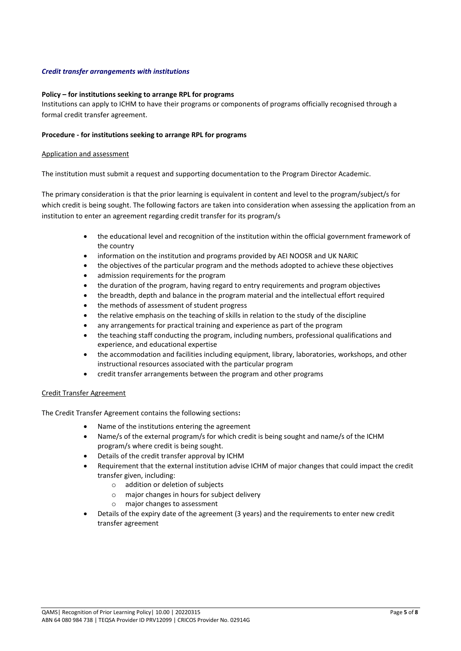#### *Credit transfer arrangements with institutions*

#### **Policy – for institutions seeking to arrange RPL for programs**

Institutions can apply to ICHM to have their programs or components of programs officially recognised through a formal credit transfer agreement.

#### **Procedure - for institutions seeking to arrange RPL for programs**

#### Application and assessment

The institution must submit a request and supporting documentation to the Program Director Academic.

The primary consideration is that the prior learning is equivalent in content and level to the program/subject/s for which credit is being sought. The following factors are taken into consideration when assessing the application from an institution to enter an agreement regarding credit transfer for its program/s

- the educational level and recognition of the institution within the official government framework of the country
- information on the institution and programs provided by AEI NOOSR and UK NARIC
- the objectives of the particular program and the methods adopted to achieve these objectives
- admission requirements for the program
- the duration of the program, having regard to entry requirements and program objectives
- the breadth, depth and balance in the program material and the intellectual effort required
- the methods of assessment of student progress
- the relative emphasis on the teaching of skills in relation to the study of the discipline
- any arrangements for practical training and experience as part of the program
- the teaching staff conducting the program, including numbers, professional qualifications and experience, and educational expertise
- the accommodation and facilities including equipment, library, laboratories, workshops, and other instructional resources associated with the particular program
- credit transfer arrangements between the program and other programs

#### Credit Transfer Agreement

The Credit Transfer Agreement contains the following sections**:**

- Name of the institutions entering the agreement
- Name/s of the external program/s for which credit is being sought and name/s of the ICHM program/s where credit is being sought.
- Details of the credit transfer approval by ICHM
- Requirement that the external institution advise ICHM of major changes that could impact the credit transfer given, including:
	- o addition or deletion of subjects
	- o major changes in hours for subject delivery
	- o major changes to assessment
- Details of the expiry date of the agreement (3 years) and the requirements to enter new credit transfer agreement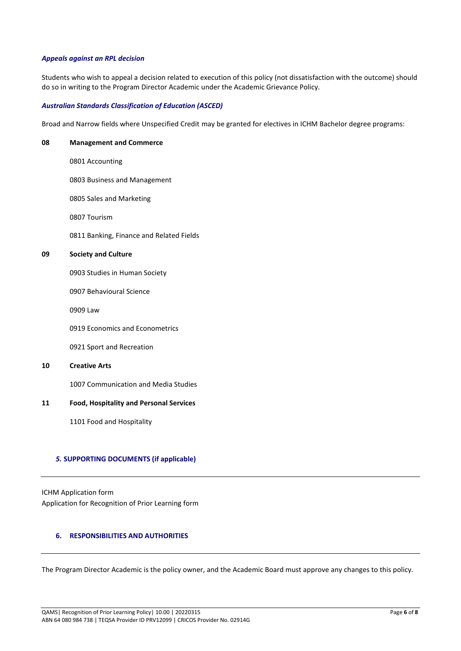#### *Appeals against an RPL decision*

Students who wish to appeal a decision related to execution of this policy (not dissatisfaction with the outcome) should do so in writing to the Program Director Academic under the Academic Grievance Policy.

#### *Australian Standards Classification of Education (ASCED)*

Broad and Narrow fields where Unspecified Credit may be granted for electives in ICHM Bachelor degree programs:

| 08 | <b>Management and Commerce</b>                 |  |  |  |  |
|----|------------------------------------------------|--|--|--|--|
|    | 0801 Accounting                                |  |  |  |  |
|    | 0803 Business and Management                   |  |  |  |  |
|    | 0805 Sales and Marketing                       |  |  |  |  |
|    | 0807 Tourism                                   |  |  |  |  |
|    | 0811 Banking, Finance and Related Fields       |  |  |  |  |
| 09 | <b>Society and Culture</b>                     |  |  |  |  |
|    | 0903 Studies in Human Society                  |  |  |  |  |
|    | 0907 Behavioural Science                       |  |  |  |  |
|    | 0909 Law                                       |  |  |  |  |
|    | 0919 Economics and Econometrics                |  |  |  |  |
|    | 0921 Sport and Recreation                      |  |  |  |  |
| 10 | <b>Creative Arts</b>                           |  |  |  |  |
|    | 1007 Communication and Media Studies           |  |  |  |  |
| 11 | <b>Food, Hospitality and Personal Services</b> |  |  |  |  |
|    | 1101 Food and Hospitality                      |  |  |  |  |
|    |                                                |  |  |  |  |

## *5.* **SUPPORTING DOCUMENTS (if applicable)**

ICHM Application form Application for Recognition of Prior Learning form

## **6. RESPONSIBILITIES AND AUTHORITIES**

The Program Director Academic is the policy owner, and the Academic Board must approve any changes to this policy.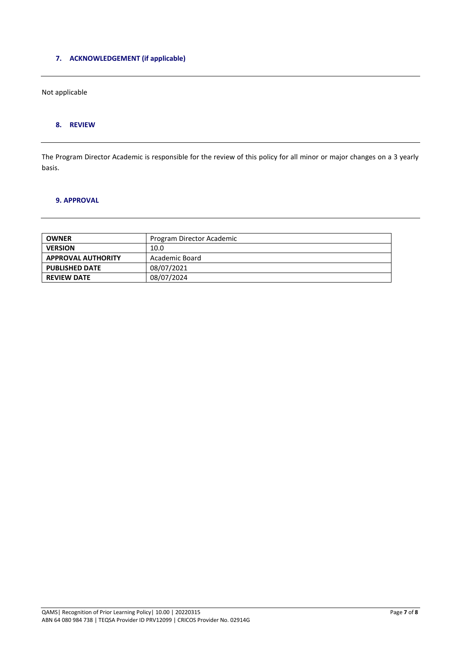## **7. ACKNOWLEDGEMENT (if applicable)**

Not applicable

## **8. REVIEW**

The Program Director Academic is responsible for the review of this policy for all minor or major changes on a 3 yearly basis.

## **9. APPROVAL**

| <b>OWNER</b>              | Program Director Academic |
|---------------------------|---------------------------|
| <b>VERSION</b>            | 10.0                      |
| <b>APPROVAL AUTHORITY</b> | Academic Board            |
| <b>PUBLISHED DATE</b>     | 08/07/2021                |
| <b>REVIEW DATE</b>        | 08/07/2024                |